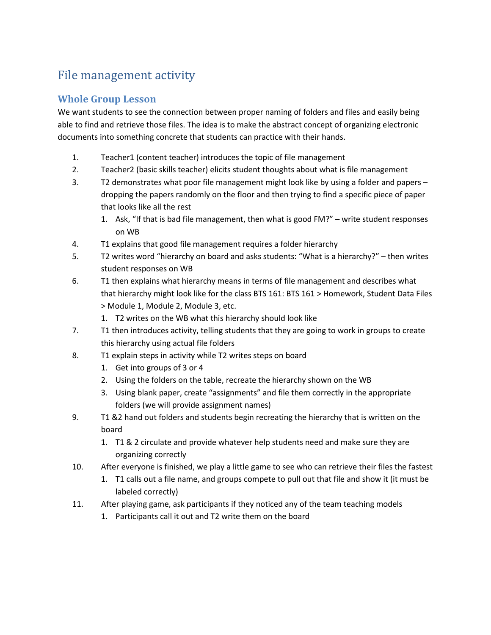## File management activity

## **Whole Group Lesson**

We want students to see the connection between proper naming of folders and files and easily being able to find and retrieve those files. The idea is to make the abstract concept of organizing electronic documents into something concrete that students can practice with their hands.

- 1. Teacher1 (content teacher) introduces the topic of file management
- 2. Teacher2 (basic skills teacher) elicits student thoughts about what is file management
- 3. T2 demonstrates what poor file management might look like by using a folder and papers dropping the papers randomly on the floor and then trying to find a specific piece of paper that looks like all the rest
	- 1. Ask, "If that is bad file management, then what is good FM?" write student responses on WB
- 4. T1 explains that good file management requires a folder hierarchy
- 5. T2 writes word "hierarchy on board and asks students: "What is a hierarchy?" then writes student responses on WB
- 6. T1 then explains what hierarchy means in terms of file management and describes what that hierarchy might look like for the class BTS 161: BTS 161 > Homework, Student Data Files > Module 1, Module 2, Module 3, etc.
	- 1. T2 writes on the WB what this hierarchy should look like
- 7. T1 then introduces activity, telling students that they are going to work in groups to create this hierarchy using actual file folders
- 8. T1 explain steps in activity while T2 writes steps on board
	- 1. Get into groups of 3 or 4
	- 2. Using the folders on the table, recreate the hierarchy shown on the WB
	- 3. Using blank paper, create "assignments" and file them correctly in the appropriate folders (we will provide assignment names)
- 9. T1 &2 hand out folders and students begin recreating the hierarchy that is written on the board
	- 1. T1 & 2 circulate and provide whatever help students need and make sure they are organizing correctly
- 10. After everyone is finished, we play a little game to see who can retrieve their files the fastest
	- 1. T1 calls out a file name, and groups compete to pull out that file and show it (it must be labeled correctly)
- 11. After playing game, ask participants if they noticed any of the team teaching models
	- 1. Participants call it out and T2 write them on the board